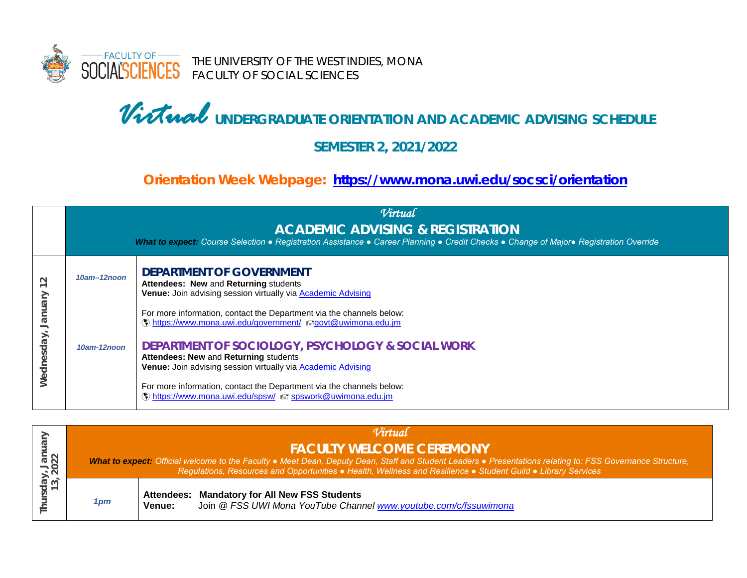

# *Virtual* **UNDERGRADUATE ORIENTATION AND ACADEMIC ADVISING SCHEDULE**

#### **SEMESTER 2, 2021/2022**

### **Orientation Week Webpage: <https://www.mona.uwi.edu/socsci/orientation>**

|                                |                  | Virtual<br><b>ACADEMIC ADVISING &amp; REGISTRATION</b><br>What to expect: Course Selection • Registration Assistance • Career Planning • Credit Checks • Change of Major• Registration Override                                                                                                                                                                                                          |
|--------------------------------|------------------|----------------------------------------------------------------------------------------------------------------------------------------------------------------------------------------------------------------------------------------------------------------------------------------------------------------------------------------------------------------------------------------------------------|
| $\sim$<br>Vienuer<br>Wednesday | $10am - 12n$ oon | <b>DEPARTMENT OF GOVERNMENT</b><br>Attendees: New and Returning students<br>Venue: Join advising session virtually via <b>Academic Advising</b>                                                                                                                                                                                                                                                          |
|                                | 10am-12noon      | For more information, contact the Department via the channels below:<br>() https://www.mona.uwi.edu/government/ <sub>₹</sub> govt@uwimona.edu.jm<br><b>DEPARTMENT OF SOCIOLOGY, PSYCHOLOGY &amp; SOCIAL WORK</b><br>Attendees: New and Returning students<br>Venue: Join advising session virtually via <b>Academic Advising</b><br>For more information, contact the Department via the channels below: |
|                                |                  | (1) https://www.mona.uwi.edu/spsw/ ₹7 spswork@uwimona.edu.jm                                                                                                                                                                                                                                                                                                                                             |

| r, Jan<br>2022<br>≏<br>ო ო<br>$\overline{\circ}$ $\overline{\circ}$ | Virtual |                                                                                                                                                                                                                                                                                                                |                                                                                                                   |  |
|---------------------------------------------------------------------|---------|----------------------------------------------------------------------------------------------------------------------------------------------------------------------------------------------------------------------------------------------------------------------------------------------------------------|-------------------------------------------------------------------------------------------------------------------|--|
|                                                                     |         | <b>FACULTY WELCOME CEREMONY</b><br>What to expect: Official welcome to the Faculty . Meet Dean, Deputy Dean, Staff and Student Leaders . Presentations relating to: FSS Governance Structure,<br>Regulations, Resources and Opportunities • Health, Wellness and Resilience • Student Guild • Library Services |                                                                                                                   |  |
|                                                                     | 1 pm    | Venue:                                                                                                                                                                                                                                                                                                         | Attendees: Mandatory for All New FSS Students<br>Join @ FSS UWI Mona YouTube Channel www.youtube.com/c/fssuwimona |  |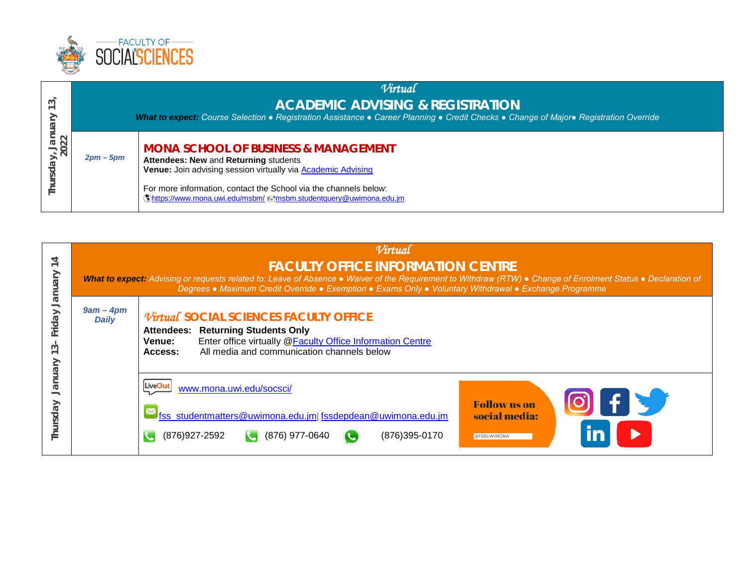

| 3<br>$\begin{array}{c} \n\text{lay,} \downarrow. \\ 2022\n\end{array}$ | Virtual<br><b>ACADEMIC ADVISING &amp; REGISTRATION</b><br>What to expect: Course Selection • Registration Assistance • Career Planning • Credit Checks • Change of Major• Registration Override |                                                                                                                                                                                                                                                                                                            |  |
|------------------------------------------------------------------------|-------------------------------------------------------------------------------------------------------------------------------------------------------------------------------------------------|------------------------------------------------------------------------------------------------------------------------------------------------------------------------------------------------------------------------------------------------------------------------------------------------------------|--|
|                                                                        | $2pm-5pm$                                                                                                                                                                                       | <b>MONA SCHOOL OF BUSINESS &amp; MANAGEMENT</b><br>Attendees: New and Returning students<br>Venue: Join advising session virtually via <b>Academic Advising</b><br>For more information, contact the School via the channels below:<br>©https://www.mona.uwi.edu/msbm/ ≢=/msbm.studentquery@uwimona.edu.jm |  |

| Vien<br>Friday<br>ᠬ<br>Vienuer<br>Thursday | Virtual<br><b>FACULTY OFFICE INFORMATION CENTRE</b><br>What to expect: Advising or requests related to: Leave of Absence • Waiver of the Requirement to Withdraw (RTW) • Change of Enrolment Status • Declaration of<br>Degrees • Maximum Credit Override • Exemption • Exams Only • Voluntary Withdrawal • Exchange Programme |                                                                                                                                                                                                                                                       |  |  |
|--------------------------------------------|--------------------------------------------------------------------------------------------------------------------------------------------------------------------------------------------------------------------------------------------------------------------------------------------------------------------------------|-------------------------------------------------------------------------------------------------------------------------------------------------------------------------------------------------------------------------------------------------------|--|--|
|                                            | $9am - 4pm$<br><b>Daily</b>                                                                                                                                                                                                                                                                                                    | Virtual SOCIAL SCIENCES FACULTY OFFICE<br><b>Attendees: Returning Students Only</b><br>Enter office virtually @Faculty Office Information Centre<br>Venue:<br>All media and communication channels below<br>Access:                                   |  |  |
|                                            |                                                                                                                                                                                                                                                                                                                                | <b>LiveChat</b><br>www.mona.uwi.edu/socsci/<br>$\textcircled{\textsf{F}}$<br><b>Follow</b> us on<br>Ifss_studentmatters@uwimona.edu.jm fssdepdean@uwimona.edu.jm<br>social media:<br>(876) 977-0640<br>(876)395-0170<br>(876) 927-2592<br>@FSSUWIMONA |  |  |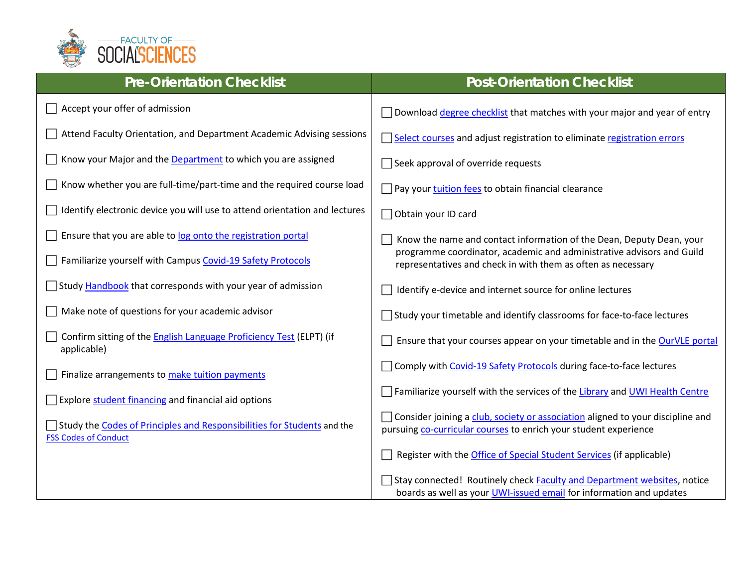

| <b>Pre-Orientation Checklist</b>                                                                       | <b>Post-Orientation Checklist</b>                                                                                                                                                                             |
|--------------------------------------------------------------------------------------------------------|---------------------------------------------------------------------------------------------------------------------------------------------------------------------------------------------------------------|
| Accept your offer of admission                                                                         | Download degree checklist that matches with your major and year of entry                                                                                                                                      |
| Attend Faculty Orientation, and Department Academic Advising sessions                                  | Select courses and adjust registration to eliminate registration errors                                                                                                                                       |
| Know your Major and the Department to which you are assigned                                           | Seek approval of override requests                                                                                                                                                                            |
| Know whether you are full-time/part-time and the required course load                                  | Pay your tuition fees to obtain financial clearance                                                                                                                                                           |
| Identify electronic device you will use to attend orientation and lectures                             | Obtain your ID card                                                                                                                                                                                           |
| Ensure that you are able to log onto the registration portal                                           | Know the name and contact information of the Dean, Deputy Dean, your<br>programme coordinator, academic and administrative advisors and Guild<br>representatives and check in with them as often as necessary |
| Familiarize yourself with Campus Covid-19 Safety Protocols                                             |                                                                                                                                                                                                               |
| Study Handbook that corresponds with your year of admission                                            | Identify e-device and internet source for online lectures                                                                                                                                                     |
| Make note of questions for your academic advisor                                                       | $\exists$ Study your timetable and identify classrooms for face-to-face lectures                                                                                                                              |
| Confirm sitting of the <b>English Language Proficiency Test</b> (ELPT) (if<br>applicable)              | Ensure that your courses appear on your timetable and in the OurVLE portal                                                                                                                                    |
| Finalize arrangements to make tuition payments                                                         | Comply with Covid-19 Safety Protocols during face-to-face lectures                                                                                                                                            |
| Explore student financing and financial aid options                                                    | Familiarize yourself with the services of the Library and UWI Health Centre                                                                                                                                   |
| Study the Codes of Principles and Responsibilities for Students and the<br><b>FSS Codes of Conduct</b> | Consider joining a club, society or association aligned to your discipline and<br>pursuing co-curricular courses to enrich your student experience                                                            |
|                                                                                                        | Register with the Office of Special Student Services (if applicable)                                                                                                                                          |
|                                                                                                        | Stay connected! Routinely check Faculty and Department websites, notice<br>boards as well as your UWI-issued email for information and updates                                                                |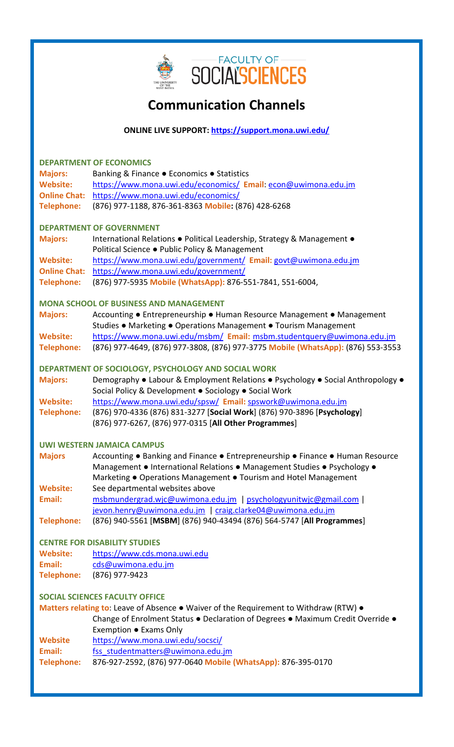

# **Communication Channels**

# **ONLINE LIVE SUPPORT:<https://support.mona.uwi.edu/>**

| <b>DEPARTMENT OF ECONOMICS</b> |                                                                                       |  |  |  |
|--------------------------------|---------------------------------------------------------------------------------------|--|--|--|
| <b>Majors:</b>                 | Banking & Finance . Economics . Statistics                                            |  |  |  |
| <b>Website:</b>                | https://www.mona.uwi.edu/economics/ Email: econ@uwimona.edu.jm                        |  |  |  |
| <b>Online Chat:</b>            | https://www.mona.uwi.edu/economics/                                                   |  |  |  |
| <b>Telephone:</b>              | (876) 977-1188, 876-361-8363 Mobile: (876) 428-6268                                   |  |  |  |
|                                | <b>DEPARTMENT OF GOVERNMENT</b>                                                       |  |  |  |
| <b>Majors:</b>                 | International Relations . Political Leadership, Strategy & Management .               |  |  |  |
|                                | Political Science . Public Policy & Management                                        |  |  |  |
| <b>Website:</b>                | https://www.mona.uwi.edu/government/ Email: govt@uwimona.edu.jm                       |  |  |  |
| <b>Online Chat:</b>            | https://www.mona.uwi.edu/government/                                                  |  |  |  |
| <b>Telephone:</b>              | (876) 977-5935 Mobile (WhatsApp): 876-551-7841, 551-6004,                             |  |  |  |
|                                | <b>MONA SCHOOL OF BUSINESS AND MANAGEMENT</b>                                         |  |  |  |
| <b>Majors:</b>                 | Accounting • Entrepreneurship • Human Resource Management • Management                |  |  |  |
|                                | Studies . Marketing . Operations Management . Tourism Management                      |  |  |  |
| <b>Website:</b>                | https://www.mona.uwi.edu/msbm/ Email: msbm.studentquery@uwimona.edu.jm                |  |  |  |
| <b>Telephone:</b>              | (876) 977-4649, (876) 977-3808, (876) 977-3775 Mobile (WhatsApp): (876) 553-3553      |  |  |  |
|                                | DEPARTMENT OF SOCIOLOGY, PSYCHOLOGY AND SOCIAL WORK                                   |  |  |  |
| <b>Majors:</b>                 | Demography . Labour & Employment Relations . Psychology . Social Anthropology .       |  |  |  |
|                                | Social Policy & Development . Sociology . Social Work                                 |  |  |  |
| <b>Website:</b>                | https://www.mona.uwi.edu/spsw/ Email: spswork@uwimona.edu.jm                          |  |  |  |
| <b>Telephone:</b>              | (876) 970-4336 (876) 831-3277 [Social Work] (876) 970-3896 [Psychology]               |  |  |  |
|                                | (876) 977-6267, (876) 977-0315 [All Other Programmes]                                 |  |  |  |
|                                | <b>UWI WESTERN JAMAICA CAMPUS</b>                                                     |  |  |  |
| <b>Majors</b>                  | Accounting • Banking and Finance • Entrepreneurship • Finance • Human Resource        |  |  |  |
|                                | Management • International Relations • Management Studies • Psychology •              |  |  |  |
|                                | Marketing . Operations Management . Tourism and Hotel Management                      |  |  |  |
| <b>Website:</b>                | See departmental websites above                                                       |  |  |  |
| Email:                         | msbmundergrad.wjc@uwimona.edu.jm   psychologyunitwjc@gmail.com                        |  |  |  |
|                                | jevon.henry@uwimona.edu.jm   craig.clarke04@uwimona.edu.jm                            |  |  |  |
| <b>Telephone:</b>              | (876) 940-5561 [MSBM] (876) 940-43494 (876) 564-5747 [All Programmes]                 |  |  |  |
|                                | <b>CENTRE FOR DISABILITY STUDIES</b>                                                  |  |  |  |
| <b>Website:</b>                | https://www.cds.mona.uwi.edu                                                          |  |  |  |
| Email:                         | cds@uwimona.edu.jm                                                                    |  |  |  |
| <b>Telephone:</b>              | (876) 977-9423                                                                        |  |  |  |
|                                | <b>SOCIAL SCIENCES FACULTY OFFICE</b>                                                 |  |  |  |
|                                | Matters relating to: Leave of Absence • Waiver of the Requirement to Withdraw (RTW) • |  |  |  |
|                                | Change of Enrolment Status . Declaration of Degrees . Maximum Credit Override .       |  |  |  |
|                                | Exemption ● Exams Only                                                                |  |  |  |
| <b>Website</b>                 | https://www.mona.uwi.edu/socsci/                                                      |  |  |  |
| Email:                         | fss studentmatters@uwimona.edu.jm                                                     |  |  |  |
| <b>Telephone:</b>              | 876-927-2592, (876) 977-0640 Mobile (WhatsApp): 876-395-0170                          |  |  |  |
|                                |                                                                                       |  |  |  |